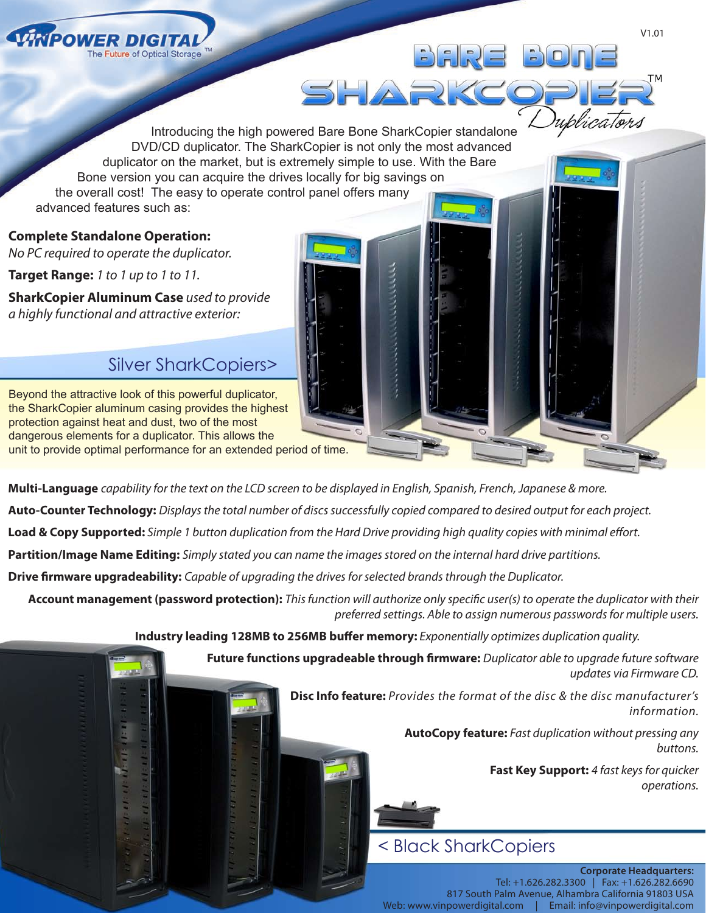

Introducing the high powered Bare Bone SharkCopier standalone DVD/CD duplicator. The SharkCopier is not only the most advanced duplicator on the market, but is extremely simple to use. With the Bare Bone version you can acquire the drives locally for big savings on the overall cost! The easy to operate control panel offers many advanced features such as:

**Complete Standalone Operation:** 

*No PC required to operate the duplicator.*

**Target Range:** *1 to 1 up to 1 to 11.*

**SharkCopier Aluminum Case** *used to provide a highly functional and attractive exterior:*

## Silver SharkCopiers>

Beyond the attractive look of this powerful duplicator, the SharkCopier aluminum casing provides the highest protection against heat and dust, two of the most dangerous elements for a duplicator. This allows the unit to provide optimal performance for an extended period of time.

**Multi-Language** *capability for the text on the LCD screen to be displayed in English, Spanish, French, Japanese & more.*

**Auto-Counter Technology:** *Displays the total number of discs successfully copied compared to desired output for each project.*

**Load & Copy Supported:** *Simple 1 button duplication from the Hard Drive providing high quality copies with minimal effort.*

**Partition/Image Name Editing:** *Simply stated you can name the images stored on the internal hard drive partitions.*

**Drive firmware upgradeability:** *Capable of upgrading the drives for selected brands through the Duplicator.*

**Account management (password protection):** *This function will authorize only specific user(s) to operate the duplicator with their preferred settings. Able to assign numerous passwords for multiple users.*

**Industry leading 128MB to 256MB buffer memory:** *Exponentially optimizes duplication quality.* 

SHARKC

**Future functions upgradeable through firmware:** *Duplicator able to upgrade future software updates via Firmware CD.*

> **Disc Info feature:** *Provides the format of the disc & the disc manufacturer's information.*

> > **AutoCopy feature:** *Fast duplication without pressing any buttons.*

> > > **Fast Key Support:** *4 fast keys for quicker operations.*

## < Black SharkCopiers

**Corporate Headquarters:** Tel: +1.626.282.3300 | Fax: +1.626.282.6690 817 South Palm Avenue, Alhambra California 91803 USA Web: www.vinpowerdigital.com | Email: info@vinpowerdigital.com

uplicators